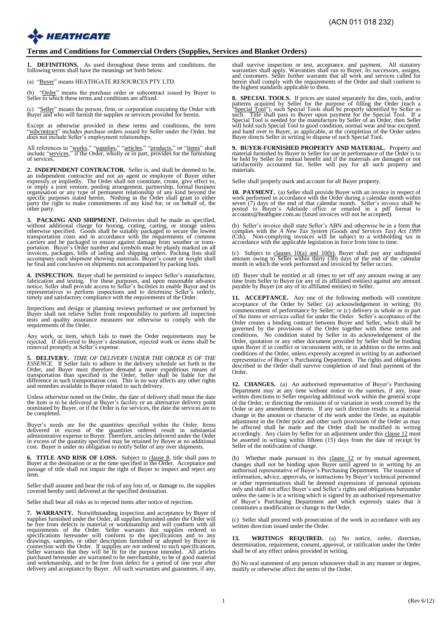# **EXAMPLE HEATHGATE**

### **Terms and Conditions for Commercial Orders (Supplies, Services and Blanket Orders)**

**DEFINITIONS.** As used throughout these terms and conditions, the following terms shall have the meanings set forth below.

(a) "Buyer" means HEATHGATE RESOURCES PTY LTD.

(b) "Order" means the purchase order or subcontract issued by Buyer to Seller to which these terms and conditions are affixed.

(c) "Seller" means the person, firm, or corporation executing the Order with Buyer and who will furnish the supplies or services provided for herein.

Except as otherwise provided in these terms and conditions, the term "subcontract" includes purchase orders issued by Seller under the Order, but does not include Seller's employment relationships.

All references to "works," "supplies," "articles," "products," or "items" shall include "services," if the Order, wholly or in part, provides for the furnishing of services.

**2. INDEPENDENT CONTRACTOR.** Seller is, and shall be deemed to be, an independent contractor and not an agent or employee of Buyer either expressly or impliedly. The Order shall not constitute, create, give effect to, or imply a joint venture, pooling arrangement, partnership, formal business<br>organisation or any type of permanent relationship of any kind beyond the<br>specific purposes stated herein. Nothing in the Order shall grant to eit

**3. PACKING AND SHIPMENT.** Deliveries shall be made as specified, without additional charge for boxing, crating, carting, or storage unless otherwise specified. Goods shall be suitably packaged to secure the lowest transpo

**4. INSPECTION.** Buyer shall be permitted to inspect Seller's manufacture, fabrication and testing. For these purposes, and upon reasonable advance<br>notice, Seller shall provide access to Seller's facilities to enable Buyer and its<br>representatives to perform inspections and to determine Seller's o

Inspections and design or planning reviews performed or not performed by Buyer shall not relieve Seller from responsibility to perform all inspection tests and quality assurance measures nor otherwise to comply with the requirements of the Order.

Any work, or item, which fails to meet the Order requirements may be rejected. If delivered to Buyer's destination, rejected work or items shall be removed promptly at Seller's expense.

**5. DELIVERY.** *TIME OF DELIVERY UNDER THE ORDER IS OF THE ESSENCE.* If Seller fails to adhere to the delivery schedule set forth in the Order, and Buyer must therefore demand a more expeditious means of transportation than specified in the Order, Seller shall be liable for the d

Unless otherwise noted on the Order, the date of delivery shall mean the date the item is to be delivered at Buyer's facility or an alternative delivery point nominated by Buyer, or if the Order is for services, the date the services are to be completed.

Buyer's needs are for the quantities specified within the Order. Items<br>delivered in excess of the quantities ordered result in substantial<br>administrative expense to Buyer. Therefore, articles delivered under the Order<br>in e

**6. TITLE AND RISK OF LOSS.** Subject to clause 8, title shall pass to Buyer at the destination or at the time specified in the Order. Acceptance and passage of title shall not impair the right of Buyer to inspect and rejec

Seller shall assume and bear the risk of any loss of, or damage to, the supplies covered hereby until delivered at the specified destination.

Seller shall bear all risks as to rejected items after notice of rejection.

**7. WARRANTY.** Notwithstanding inspection and acceptance by Buyer of supplies furnished under the Order, all supplies furnished under the Order will be free from defects in material or workmanship and will conform with all<br>requirements of the Order. Seller warrants that supplies ordered to<br>specifications hereunder will conform to the specifications and to any<br>drawings, delivery and acceptance by Buyer. All such warranties and guarantees, if any,

shall survive inspection or test, acceptance, and payment. All statutory warranties shall apply. Warranties shall run to Buyer, its successors, assigns, and customers. Seller further warrants that all work and services cal herein shall comply with the requirements of the Order and shall conform to the highest standards applicable to them.

**8. SPECIAL TOOLS.** If prices are stated separately for dies, tools, and/or patterns acquired by Seller for the purpose of filling the Order (each a "Special Tool"), such Special Ools shall be properly identified by Seller will hold such Special Tool in good condition, normal wear and tear excepted, and hand over to Buyer, as applicable, at the completion of the Order unless Buyer directs Seller in writing to dispose of such Special Tool.

**9. BUYER-FURNISHED PROPERTY AND MATERIAL.** Property and material furnished by Buyer to Seller for use in performance of the Order is to be held by Seller for mutual benefit and if the materials are damaged or not satisfactorily accounted for, Seller will pay for all such property and materials.

Seller shall properly mark and account for all Buyer property.

**10. PAYMENT.** (a) Seller shall provide Buyer with an invoice in respect of work performed in accordance with the Order during a calendar month within seven (7) days of the end of that calendar month. Seller's invoice shal accounts@heathgate.com.au (faxed invoices will not be accepted).

(b) Seller's invoice shall state Seller's ABN and otherwise be in a form that complies with the A New Tax System (Goods and Services Tax) Act 1999 (Cth). Non-complying invoices will be subject to a withholding tax in acco

(c) Subject to clauses  $10(a)$  and  $10(b)$ , Buyer shall pay any undisputed amount owing to Seller within thirty  $(30)$  days of the end of the calendar month in which the work performed and invoiced by Seller occurs.

(d) Buyer shall be entitled at all times to set off any amount owing at any time from Seller to Buyer (or any of its affiliated entities) against any amount payable by Buyer (or any of its affiliated entities) to Seller.

**11. ACCEPTANCE.** Any one of the following methods will constitute acceptance of the Order by Seller: (a) acknowledgement in writing; (b) commencement of performance by Seller; or (c) delivery in whole or in part of the items or services called for under the Order. Seller's acceptance of the Order creates a binding contract between Buyer and Seller, which shall be governed by the provisions of the Order together with these terms and conditions. No condition stated by Seller in its acknowledgement of the Order, quotation or any other document provided by Seller shall be binding upon Buyer if in conflict or inconsistent with, or in addition to the terms and conditions of the Order, unless expressly accepted in writing by an authorised representative of Buyer's Purchasing Department. The rights and obligations described in the Order shall survive completion of and final payment of the Order.

**12. CHANGES.** (a) An authorised representative of Buyer's Purchasing Department may at any time without notice to the sureties, if any, issue written directions to Seller requiring additional work within the general scope of the Order, or directing the omission of or variation in work covered by the Order or any amendment thereto. If any such direction results in a material change in the amount or character of the work under the Order, an equitable adjustment in the Order price and other such provisions of the Order as may be affected shall be made and the Order shall be modified in writing accordingly. Any claim by Seller for an adjustment under this clause 12 must be asserted in writing within fifteen (15) days from the date of receipt by Seller of the notification of change.

(b) Whether made pursuant to this clause 12 or by mutual agreement, changes shall not be binding upon Buyer until agreed to in writing by an authorised representative of Buyer's Purchasing Department. The issuance of information, advice, approvals, or instructions by Buyer's technical personnel or other representatives shall be deemed expressions of personal opinions only and shall not affect Buyer's and Seller's rights and obligations hereunder unless the same is in a writing which is signed by an authorised representative of Buyer's Purchasing Department and which expressly states that it constitutes a modification or change to the Order.

(c) Seller shall proceed with prosecution of the work in accordance with any written direction issued under the Order.

**WRITINGS REQUIRED.** (a) No notice, order, direction, determination, requirement, consent, approval, or ratification under the Order shall be of any effect unless provided in writing.

(b) No oral statement of any person whosoever shall in any manner or degree, modify or otherwise affect the terms of the Order.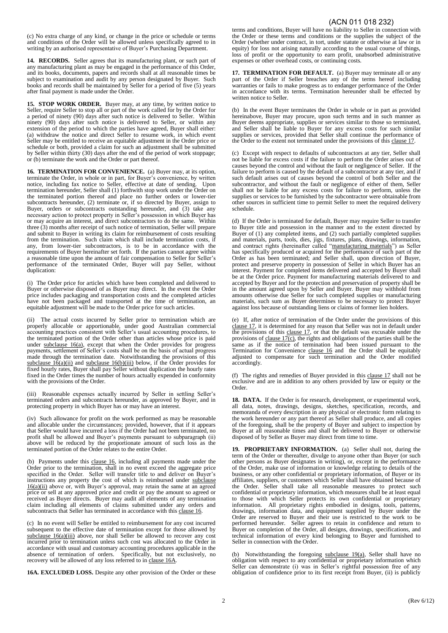(c) No extra charge of any kind, or change in the price or schedule or terms and conditions of the Order will be allowed unless specifically agreed to in writing by an authorised representative of Buyer's Purchasing Department.

**14. RECORDS.** Seller agrees that its manufacturing plant, or such part of any manufacturing plant as may be engaged in the performance of this Order, and its books, documents, papers and records shall at all reasonable times be subject to examination and audit by any person designated by Buyer. Such books and records shall be maintained by Seller for a period of five (5) years after final payment is made under the Order.

15. STOP WORK ORDER. Buyer may, at any time, by written notice to Seller, require Seller to stop all or part of the work called for by the Order for a period of ninety (90) days after such notice is delivered to Seller. Within ninety (90) days after such notice is delivered to Seller, or within any extension of the period to which the parties have agreed, Buyer shall either: (a) withdraw the notice and direct Seller to resume work, in which event Seller may be entitled to receive an equitable adjustment in the Order price or schedule or both, provided a claim for such an adjustment shall be submitted by Seller within thirty (30) days after the end of the period of work stoppage; or (b) terminate the work and the Order or part thereof.

**16. TERMINATION FOR CONVENIENCE.** (a) Buyer may, at its option, terminate the Order, in whole or in part, for Buyer's convenience, by written notice, including fax notice to Seller, effective at date of sending. Upon termination hereunder, Seller shall (1) forthwith stop work under the Order on the terminated portion thereof and place no further orders or lower-tier subcontracts hereunder, (2) terminate or, if so directed by Buyer, assign to Buyer, orders or subcontracts outstanding hereunder, and (3) take any necessary action to protect property in Seller's possession in which Buyer has or may acquire an interest, and direct subcontractors to do the same. Within three (3) months after receipt of such notice of termination, Seller will prepare and submit to Buyer in writing its claim for reimbursement of costs resulting from the termination. Such claim which shall include termination costs, if any, from lower-tier subcontractors, is to be in accordance with the requirements of Buyer hereinafter set forth. If the parties cannot agree within a reasonable time upon the amount of fair compensation to Seller for Seller's performance of the terminated Order, Buyer will pay Seller, without duplication:

(i) The Order price for articles which have been completed and delivered to Buyer or otherwise disposed of as Buyer may direct. In the event the Order price includes packaging and transportation costs and the completed articles have not been packaged and transported at the time of termination, an equitable adjustment will be made to the Order price for such articles.

(ii) The actual costs incurred by Seller prior to termination which are properly allocable or apportionable, under good Australian commercial accounting practices consistent with Seller's usual accounting procedures, to the terminated portion of the Order other than articles whose price is paid under subclause  $16(a)$ , except that when the Order provides for progress payments, settlement of Seller's costs shall be on the basis of actual progress made through the termination date. Notwithstanding the provisions of this subclause  $16(a)(ii)$  and subclause  $16(b)(iii)$  below, if the Order provides for fixed hourly rates, Buyer shall pay Seller without duplication the hourly rates fixed in the Order times the number of hours actually expended in conformity with the provisions of the Order.

(iii) Reasonable expenses actually incurred by Seller in settling Seller's terminated orders and subcontracts hereunder, as approved by Buyer, and in protecting property in which Buyer has or may have an interest.

(iv) Such allowance for profit on the work performed as may be reasonable and allocable under the circumstances; provided, however, that if it appears that Seller would have incurred a loss if the Order had not been terminated, no profit shall be allowed and Buyer's payments pursuant to subparagraph (ii) above will be reduced by the proportionate amount of such loss as the terminated portion of the Order relates to the entire Order.

(b) Payments under this clause 16, including all payments made under the Order prior to the termination, shall in no event exceed the aggregate price specified in the Order. Seller will transfer title to and deliver on Buyer's instructions any property the cost of which is reimbursed under subclause 16(a)(ii) above or, with Buyer's approval, may retain the same at an agreed price or sell at any approved price and credit or pay the amount so agreed or received as Buyer directs. Buyer may audit all elements of any termination claim including all elements of claims submitted under any orders and subcontracts that Seller has terminated in accordance with this clause 16.

(c) In no event will Seller be entitled to reimbursement for any cost incurred subsequent to the effective date of termination except for those allowed by subclause  $16(a)(iii)$  above, nor shall Seller be allowed to recover any cost incurred prior to termination unless such cost was allocated to the Order in accordance with usual and customary accounting procedures applicable in the absence of termination of orders. Specifically, but not exclusively, no recovery will be allowed of any loss referred to in clause 16A.

**16A. EXCLUDED LOSS.** Despite any other provision of the Order or these

#### (ACN 011 018 232)

terms and conditions, Buyer will have no liability to Seller in connection with the Order or these terms and conditions or the supplies the subject of the Order (whether under contract, in tort, under statute or otherwise at law or in equity) for loss not arising naturally according to the usual course of things, loss of profit or the opportunity to earn profit, unabsorbed administrative expenses or other overhead costs, or continuing costs.

**17. TERMINATION FOR DEFAULT.** (a) Buyer may terminate all or any part of the Order if Seller breaches any of the terms hereof including warranties or fails to make progress as to endanger performance of the Order in accordance with its terms. Termination hereunder shall be effected by written notice to Seller.

(b) In the event Buyer terminates the Order in whole or in part as provided hereinabove, Buyer may procure, upon such terms and in such manner as Buyer deems appropriate, supplies or services similar to those so terminated, and Seller shall be liable to Buyer for any excess costs for such similar supplies or services, provided that Seller shall continue the performance of the Order to the extent not terminated under the provisions of this clause 17.

(c) Except with respect to defaults of subcontractors at any tier, Seller shall not be liable for excess costs if the failure to perform the Order arises out of causes beyond the control and without the fault or negligence of Seller. If the failure to perform is caused by the default of a subcontractor at any tier, and if such default arises out of causes beyond the control of both Seller and the subcontractor, and without the fault or negligence of either of them, Seller shall not be liable for any excess costs for failure to perform, unless the supplies or services to be furnished by the subcontractor were obtainable from other sources in sufficient time to permit Seller to meet the required delivery schedule.

(d) If the Order is terminated for default, Buyer may require Seller to transfer to Buyer title and possession in the manner and to the extent directed by Buyer of (1) any completed items, and (2) such partially completed supplies and materials, parts, tools, dies, jigs, fixtures, plans, drawings, information, and contract rights (hereinafter called "manufacturing materials") as Seller has specifically produced or acquired for the performance of such part of the Order as has been terminated; and Seller shall, upon direction of Buyer, protect and preserve property in possession of Seller in which Buyer has an interest. Payment for completed items delivered and accepted by Buyer shall be at the Order price. Payment for manufacturing materials delivered to and accepted by Buyer and for the protection and preservation of property shall be in the amount agreed upon by Seller and Buyer. Buyer may withhold from amounts otherwise due Seller for such completed supplies or manufacturing materials, such sum as Buyer determines to be necessary to protect Buyer against loss because of outstanding liens or claims of former lien holders.

(e) If, after notice of termination of the Order under the provisions of this clause 17, it is determined for any reason that Seller was not in default under the provisions of this clause 17, or that the default was excusable under the provisions of clause  $17(c)$ , the rights and obligations of the parties shall be the same as if the notice of termination had been issued pursuant to the Termination for Convenience clause 16 and the Order shall be equitably adjusted to compensate for such termination and the Order modified accordingly.

(f) The rights and remedies of Buyer provided in this clause 17 shall not be exclusive and are in addition to any others provided by law or equity or the Order.

**18. DATA.** If the Order is for research, development, or experimental work, all data, notes, drawings, designs, sketches, specification, records, and memoranda of every description in any physical or electronic form relating to the work hereunder or any part thereof as Seller shall produce, and all copies of the foregoing, shall be the property of Buyer and subject to inspection by Buyer at all reasonable times and shall be delivered to Buyer or otherwise disposed of by Seller as Buyer may direct from time to time.

**19. PROPRIETARY INFORMATION.** (a) Seller shall not, during the term of the Order or thereafter, divulge to anyone other than Buyer (or such other persons as Buyer designates in writing), or, except in the performance of the Order, make use of information or knowledge relating to details of the business, or any other confidential or proprietary information, of Buyer or its affiliates, suppliers, or customers which Seller shall have obtained because of the Order. Seller shall take all reasonable measures to protect such confidential or proprietary information, which measures shall be at least equal to those with which Seller protects its own confidential or proprietary information. All proprietary rights embodied in designs, tools, patterns, drawings, information data, and equipment supplied by Buyer under the Order are reserved to Buyer and their use is restricted to the work to be performed hereunder. Seller agrees to retain in confidence and return to Buyer on completion of the Order, all designs, drawings, specifications, and technical information of every kind belonging to Buyer and furnished to Seller in connection with the Order.

(b) Notwithstanding the foregoing subclause 19(a), Seller shall have no obligation with respect to any confidential or proprietary information which Seller can demonstrate (i) was in Seller's rightful possession free of any obligation of confidence prior to its first receipt from Buyer, (ii) is publicly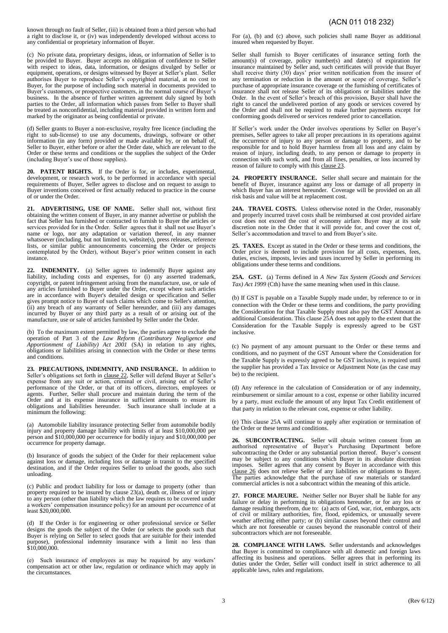known through no fault of Seller, (iii) is obtained from a third person who had a right to disclose it, or (iv) was independently developed without access to any confidential or proprietary information of Buyer.

(c) No private data, proprietary designs, ideas, or information of Seller is to be provided to Buyer. Buyer accepts no obligation of confidence to Seller with respect to ideas, data, information, or designs divulged by Seller or equipment, operations, or designs witnessed by Buyer at Seller's plant. Seller authorises Buyer to reproduce Seller's copyrighted material, at no cost to Buyer, for the purpose of including such material in documents provided to Buyer's customers, or prospective customers, in the normal course of Buyer's business. In the absence of further written agreement duly signed by both parties to the Order, all information which passes from Seller to Buyer shall be treated as nonconfidential, including material provided in written form and marked by the originator as being confidential or private.

(d) Seller grants to Buyer a non-exclusive, royalty free licence (including the right to sub-license) to use any documents, drawings, software or other information (in any form) provided or made available by, or on behalf of, Seller to Buyer, either before or after the Order date, which are relevant to the Order or these terms and conditions or the supplies the subject of the Order (including Buyer's use of those supplies).

**20. PATENT RIGHTS.** If the Order is for, or includes, experimental, development, or research work, to be performed in accordance with special requirements of Buyer, Seller agrees to disclose and on request to assign to Buyer inventions conceived or first actually reduced to practice in the course of or under the Order.

**21. ADVERTISING, USE OF NAME.** Seller shall not, without first obtaining the written consent of Buyer, in any manner advertise or publish the fact that Seller has furnished or contracted to furnish to Buyer the articles or services provided for in the Order. Seller agrees that it shall not use Buyer's name or logo, nor any adaptation or variation thereof, in any manner whatsoever (including, but not limited to, website(s), press releases, reference lists, or similar public announcements concerning the Order or projects contemplated by the Order), without Buyer's prior written consent in each instance.

**22. INDEMNITY.** (a) Seller agrees to indemnify Buyer against any liability, including costs and expenses, for (i) any asserted trademark, copyright, or patent infringement arising from the manufacture, use, or sale of any articles furnished to Buyer under the Order, except where such articles are in accordance with Buyer's detailed design or specification and Seller gives prompt notice to Buyer of such claims which come to Seller's attention, (ii) any breach of any warranty of Seller hereunder, and (iii) any damages incurred by Buyer or any third party as a result of or arising out of the manufacture, use or sale of articles furnished by Seller under the Order.

(b) To the maximum extent permitted by law, the parties agree to exclude the operation of Part 3 of the *Law Reform (Contributory Negligence and Apportionment of Liability) Act 2001* (SA) in relation to any rights, obligations or liabilities arising in connection with the Order or these terms and conditions.

**23. PRECAUTIONS, INDEMNITY, AND INSURANCE.** In addition to Seller's obligations set forth in clause 22, Seller will defend Buyer at Seller's expense from any suit or action, criminal or civil, arising out of Seller's performance of the Order, or that of its officers, directors, employees or agents. Further, Seller shall procure and maintain during the term of the Order and at its expense insurance in sufficient amounts to ensure its obligations and liabilities hereunder. Such insurance shall include at a minimum the following:

(a) Automobile liability insurance protecting Seller from automobile bodily injury and property damage liability with limits of at least \$10,000,000 per person and \$10,000,000 per occurrence for bodily injury and \$10,000,000 per occurrence for property damage.

(b) Insurance of goods the subject of the Order for their replacement value against loss or damage, including loss or damage in transit to the specified destination, and if the Order requires Seller to unload the goods, also such unloading.

(c) Public and product liability for loss or damage to property (other than property required to be insured by clause 23(a), death or, illness of or injury to any person (other than liability which the law requires to be covered under a workers' compensation insurance policy) for an amount per occurrence of at least \$20,000,000.

(d) If the Order is for engineering or other professional service or Seller designs the goods the subject of the Order (or selects the goods such that Buyer is relying on Seller to select goods that are suitable for their intended purpose), professional indemnity insurance with a limit no less than \$10,000,000.

(e) Such insurance of employees as may be required by any workers' compensation act or other law, regulation or ordinance which may apply in the circumstances.

For (a), (b) and (c) above, such policies shall name Buyer as additional insured when requested by Buyer.

Seller shall furnish to Buyer certificates of insurance setting forth the amount(s) of coverage, policy number(s) and date(s) of expiration for insurance maintained by Seller and, such certificates will provide that Buyer shall receive thirty (30) days' prior written notification from the insurer of any termination or reduction in the amount or scope of coverage. Seller's purchase of appropriate insurance coverage or the furnishing of certificates of insurance shall not release Seller of its obligations or liabilities under the Order. In the event of Seller's breach of this provision, Buyer shall have the right to cancel the undelivered portion of any goods or services covered by the Order and shall not be required to make further payments except for conforming goods delivered or services rendered prior to cancellation.

If Seller's work under the Order involves operations by Seller on Buyer's premises, Seller agrees to take all proper precautions in its operations against the occurrence of injury to any person or damage to property, and to be responsible for and to hold Buyer harmless from all loss and any claim by reason of injury, including death, to any person or damage to property in connection with such work, and from all fines, penalties, or loss incurred by reason of failure to comply with this clause 23.

**24. PROPERTY INSURANCE.** Seller shall secure and maintain for the benefit of Buyer, insurance against any loss or damage of all property in which Buyer has an interest hereunder. Coverage will be provided on an all risk basis and value will be at replacement cost.

**24A. TRAVEL COSTS.** Unless otherwise noted in the Order, reasonably and properly incurred travel costs shall be reimbursed at cost provided airfare cost does not exceed the cost of economy airfare. Buyer may at its sole discretion note in the Order that it will provide for, and cover the cost of, Seller's accommodation and travel to and from Buyer's site.

**25. TAXES.** Except as stated in the Order or these terms and conditions, the Order price is deemed to include provision for all costs, expenses, fees, duties, excises, imposts, levies and taxes incurred by Seller in performing its obligations under these terms and conditions.

**25A. GST.** (a) Terms defined in *A New Tax System (Goods and Services Tax) Act 1999* (Cth) have the same meaning when used in this clause.

(b) If GST is payable on a Taxable Supply made under, by reference to or in connection with the Order or these terms and conditions, the party providing the Consideration for that Taxable Supply must also pay the GST Amount as additional Consideration. This clause  $25\overrightarrow{A}$  does not apply to the extent that the Consideration for the Taxable Supply is expressly agreed to be GST inclusive.

(c) No payment of any amount pursuant to the Order or these terms and conditions, and no payment of the GST Amount where the Consideration for the Taxable Supply is expressly agreed to be GST inclusive, is required until the supplier has provided a Tax Invoice or Adjustment Note (as the case may be) to the recipient.

(d) Any reference in the calculation of Consideration or of any indemnity, reimbursement or similar amount to a cost, expense or other liability incurred by a party, must exclude the amount of any Input Tax Credit entitlement of that party in relation to the relevant cost, expense or other liability.

(e) This clause 25A will continue to apply after expiration or termination of the Order or these terms and conditions.

**26. SUBCONTRACTING.** Seller will obtain written consent from an authorised representative of Buyer's Purchasing Department before subcontracting the Order or any substantial portion thereof. Buyer's consent may be subject to any conditions which Buyer in its absolute discretion imposes. Seller agrees that any consent by Buyer in accordance with this clause 26 does not relieve Seller of any liabilities or obligations to Buyer. The parties acknowledge that the purchase of raw materials or standard commercial articles is not a subcontract within the meaning of this article.

**27. FORCE MAJEURE.** Neither Seller nor Buyer shall be liable for any failure or delay in performing its obligations hereunder, or for any loss or damage resulting therefrom, due to: (a) acts of God, war, riot, embargos, acts of civil or military authorities, fire, flood, epidemics, or unusually severe weather affecting either party; or (b) similar causes beyond their control and which are not foreseeable or causes beyond the reasonable control of their subcontractors which are not foreseeable.

**28. COMPLIANCE WITH LAWS.** Seller understands and acknowledges that Buyer is committed to compliance with all domestic and foreign laws affecting its business and operations. Seller agrees that in performing its duties under the Order, Seller will conduct itself in strict adherence to all applicable laws, rules and regulations.